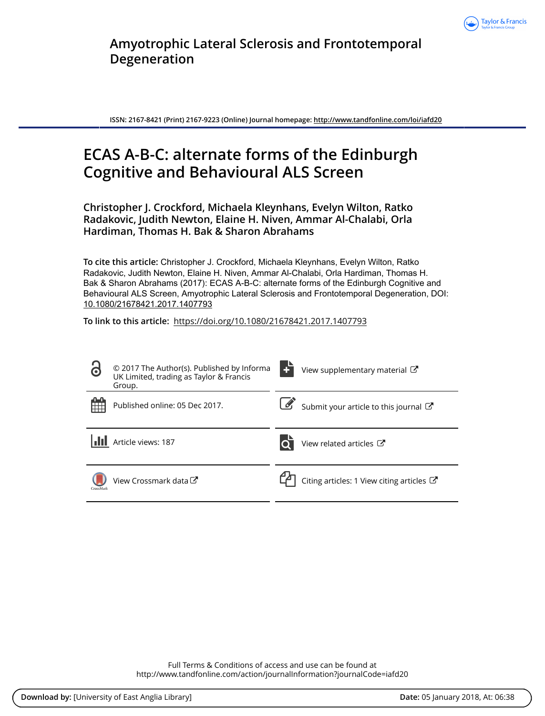

**Amyotrophic Lateral Sclerosis and Frontotemporal Degeneration**

**ISSN: 2167-8421 (Print) 2167-9223 (Online) Journal homepage:<http://www.tandfonline.com/loi/iafd20>**

# **ECAS A-B-C: alternate forms of the Edinburgh Cognitive and Behavioural ALS Screen**

**Christopher J. Crockford, Michaela Kleynhans, Evelyn Wilton, Ratko Radakovic, Judith Newton, Elaine H. Niven, Ammar Al-Chalabi, Orla Hardiman, Thomas H. Bak & Sharon Abrahams**

**To cite this article:** Christopher J. Crockford, Michaela Kleynhans, Evelyn Wilton, Ratko Radakovic, Judith Newton, Elaine H. Niven, Ammar Al-Chalabi, Orla Hardiman, Thomas H. Bak & Sharon Abrahams (2017): ECAS A-B-C: alternate forms of the Edinburgh Cognitive and Behavioural ALS Screen, Amyotrophic Lateral Sclerosis and Frontotemporal Degeneration, DOI: [10.1080/21678421.2017.1407793](http://www.tandfonline.com/action/showCitFormats?doi=10.1080/21678421.2017.1407793)

**To link to this article:** <https://doi.org/10.1080/21678421.2017.1407793>

| $\bullet$ | © 2017 The Author(s). Published by Informa<br>UK Limited, trading as Taylor & Francis<br>Group. | View supplementary material C                        |
|-----------|-------------------------------------------------------------------------------------------------|------------------------------------------------------|
| 冊         | Published online: 05 Dec 2017.                                                                  | Submit your article to this journal                  |
|           | Article views: 187                                                                              | View related articles C                              |
| CrossMark | View Crossmark data <sup>C</sup>                                                                | Citing articles: 1 View citing articles $\mathbb{Z}$ |

Full Terms & Conditions of access and use can be found at <http://www.tandfonline.com/action/journalInformation?journalCode=iafd20>

**Download by:** [University of East Anglia Library] **Date:** 05 January 2018, At: 06:38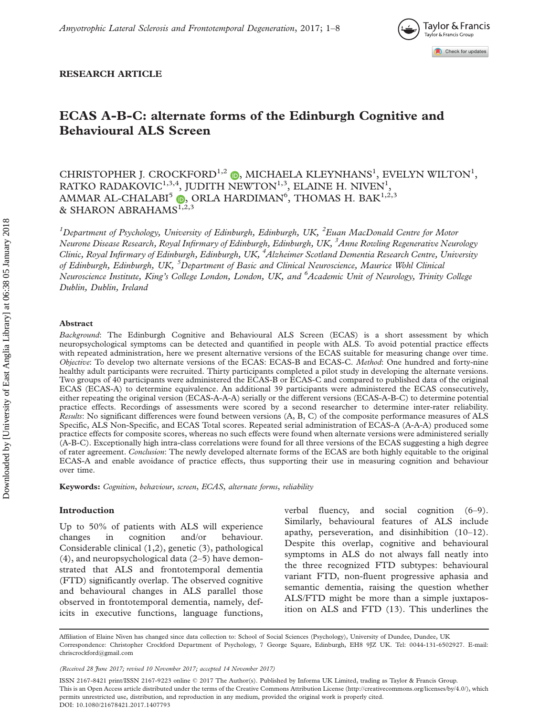

## RESEARCH ARTICLE

## ECAS A-B-C: alternate forms of the Edinburgh Cognitive and Behavioural ALS Screen

CHRISTOPHER J. CROCKFORD<sup>1,2</sup> (D), MICHAELA KLEYNHANS<sup>1</sup>, EVELYN WILTON<sup>1</sup>, RATKO RADAKOVIC $^{1,3,4}$ , JUDITH NEWTON $^{1,3}$ , ELAINE H. NIVEN $^{1},$ AMMAR AL-CHALABI $^5$  (b), ORLA HARDIMAN $^6$ , THOMAS H. BAK $^{1,2,3}$ & SHARON ABRAHAMS $^{1,2,3}$  $^{1,2,3}$  $^{1,2,3}$ 

<sup>1</sup>Department of Psychology, University of Edinburgh, Edinburgh, UK, <sup>2</sup>Euan MacDonald Centre for Motor Neurone Disease Research, Royal Infirmary of Edinburgh, Edinburgh, UK, <sup>3</sup>Anne Rowling Regenerative Neurology Clinic, Royal Infirmary of Edinburgh, Edinburgh, UK, <sup>4</sup>Alzheimer Scotland Dementia Research Centre, University of Edinburgh, Edinburgh, UK, <sup>5</sup>Department of Basic and Clinical Neuroscience, Maurice Wohl Clinical Neuroscience Institute, King's College London, London, UK, and <sup>6</sup>Academic Unit of Neurology, Trinity College Dublin, Dublin, Ireland

## Abstract

Background: The Edinburgh Cognitive and Behavioural ALS Screen (ECAS) is a short assessment by which neuropsychological symptoms can be detected and quantified in people with ALS. To avoid potential practice effects with repeated administration, here we present alternative versions of the ECAS suitable for measuring change over time. Objective: To develop two alternate versions of the ECAS: ECAS-B and ECAS-C. Method: One hundred and forty-nine healthy adult participants were recruited. Thirty participants completed a pilot study in developing the alternate versions. Two groups of 40 participants were administered the ECAS-B or ECAS-C and compared to published data of the original ECAS (ECAS-A) to determine equivalence. An additional 39 participants were administered the ECAS consecutively, either repeating the original version (ECAS-A-A-A) serially or the different versions (ECAS-A-B-C) to determine potential practice effects. Recordings of assessments were scored by a second researcher to determine inter-rater reliability. Results: No significant differences were found between versions (A, B, C) of the composite performance measures of ALS Specific, ALS Non-Specific, and ECAS Total scores. Repeated serial administration of ECAS-A (A-A-A) produced some practice effects for composite scores, whereas no such effects were found when alternate versions were administered serially (A-B-C). Exceptionally high intra-class correlations were found for all three versions of the ECAS suggesting a high degree of rater agreement. Conclusion: The newly developed alternate forms of the ECAS are both highly equitable to the original ECAS-A and enable avoidance of practice effects, thus supporting their use in measuring cognition and behaviour over time.

Keywords: Cognition, behaviour, screen, ECAS, alternate forms, reliability

## Introduction

Up to 50% of patients with ALS will experience changes in cognition and/or behaviour. Considerable clinical [\(1,2](#page-7-0)), genetic ([3](#page-7-0)), pathological ([4](#page-7-0)), and neuropsychological data ([2](#page-7-0)–[5\)](#page-7-0) have demonstrated that ALS and frontotemporal dementia (FTD) significantly overlap. The observed cognitive and behavioural changes in ALS parallel those observed in frontotemporal dementia, namely, deficits in executive functions, language functions,

verbal fluency, and social cognition ([6–9\)](#page-7-0). Similarly, behavioural features of ALS include apathy, perseveration, and disinhibition ([10–12\)](#page-7-0). Despite this overlap, cognitive and behavioural symptoms in ALS do not always fall neatly into the three recognized FTD subtypes: behavioural variant FTD, non-fluent progressive aphasia and semantic dementia, raising the question whether ALS/FTD might be more than a simple juxtaposition on ALS and FTD [\(13](#page-7-0)). This underlines the

ISSN 2167-8421 print/ISSN 2167-9223 online © 2017 The Author(s). Published by Informa UK Limited, trading as Taylor & Francis Group. This is an Open Access article distributed under the terms of the Creative Commons Attribution License [\(h](http://creativecommons.org/licenses/by/4.0/)[ttp://creativecommons.org/licenses/by/4.0/\)](Undefined namespace prefix), which permits unrestricted use, distribution, and reproduction in any medium, provided the original work is properly cited. DOI: 10.1080/21678421.2017.1407793

Affiliation of Elaine Niven has changed since data collection to: School of Social Sciences (Psychology), University of Dundee, Dundee, UK Correspondence: Christopher Crockford Department of Psychology, 7 George Square, Edinburgh, EH8 9JZ UK. Tel: 0044-131-6502927. E-mail: chriscrockford@gmail.com

<sup>(</sup>Received 28 June 2017; revised 10 November 2017; accepted 14 November 2017)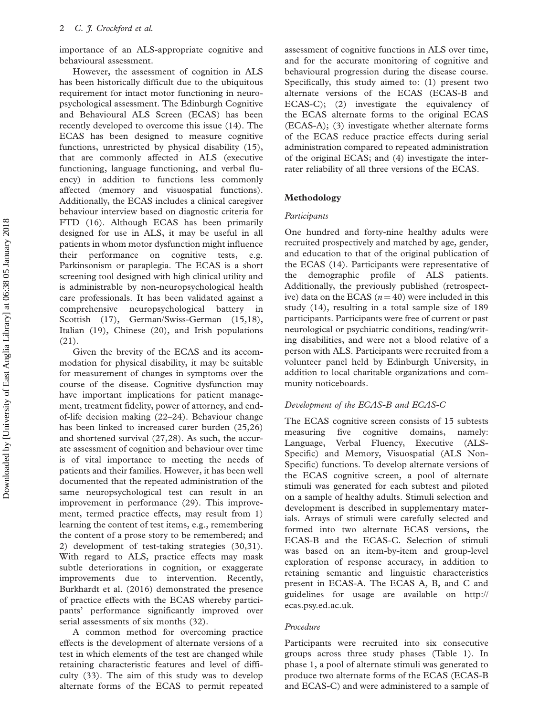importance of an ALS-appropriate cognitive and behavioural assessment.

However, the assessment of cognition in ALS has been historically difficult due to the ubiquitous requirement for intact motor functioning in neuropsychological assessment. The Edinburgh Cognitive and Behavioural ALS Screen (ECAS) has been recently developed to overcome this issue ([14\)](#page-7-0). The ECAS has been designed to measure cognitive functions, unrestricted by physical disability ([15\)](#page-7-0), that are commonly affected in ALS (executive functioning, language functioning, and verbal fluency) in addition to functions less commonly affected (memory and visuospatial functions). Additionally, the ECAS includes a clinical caregiver behaviour interview based on diagnostic criteria for FTD ([16\)](#page-7-0). Although ECAS has been primarily designed for use in ALS, it may be useful in all patients in whom motor dysfunction might influence their performance on cognitive tests, Parkinsonism or paraplegia. The ECAS is a short screening tool designed with high clinical utility and is administrable by non-neuropsychological health care professionals. It has been validated against a comprehensive neuropsychological battery in Scottish ([17\)](#page-7-0), German/Swiss-German ([15,18\)](#page-7-0), Italian ([19\)](#page-7-0), Chinese [\(20](#page-7-0)), and Irish populations ([21\)](#page-7-0).

Given the brevity of the ECAS and its accommodation for physical disability, it may be suitable for measurement of changes in symptoms over the course of the disease. Cognitive dysfunction may have important implications for patient management, treatment fidelity, power of attorney, and endof-life decision making ([22–24\)](#page-8-0). Behaviour change has been linked to increased carer burden ([25,26\)](#page-8-0) and shortened survival [\(27](#page-8-0),[28](#page-8-0)). As such, the accurate assessment of cognition and behaviour over time is of vital importance to meeting the needs of patients and their families. However, it has been well documented that the repeated administration of the same neuropsychological test can result in an improvement in performance [\(29](#page-8-0)). This improvement, termed practice effects, may result from 1) learning the content of test items, e.g., remembering the content of a prose story to be remembered; and 2) development of test-taking strategies ([30,31\)](#page-8-0). With regard to ALS, practice effects may mask subtle deteriorations in cognition, or exaggerate improvements due to intervention. Recently, Burkhardt et al. (2016) demonstrated the presence of practice effects with the ECAS whereby participants' performance significantly improved over serial assessments of six months [\(32](#page-8-0)).

A common method for overcoming practice effects is the development of alternate versions of a test in which elements of the test are changed while retaining characteristic features and level of difficulty ([33\)](#page-8-0). The aim of this study was to develop alternate forms of the ECAS to permit repeated assessment of cognitive functions in ALS over time, and for the accurate monitoring of cognitive and behavioural progression during the disease course. Specifically, this study aimed to: (1) present two alternate versions of the ECAS (ECAS-B and ECAS-C); (2) investigate the equivalency of the ECAS alternate forms to the original ECAS (ECAS-A); (3) investigate whether alternate forms of the ECAS reduce practice effects during serial administration compared to repeated administration of the original ECAS; and (4) investigate the interrater reliability of all three versions of the ECAS.

## Methodology

#### Participants

One hundred and forty-nine healthy adults were recruited prospectively and matched by age, gender, and education to that of the original publication of the ECAS [\(14](#page-7-0)). Participants were representative of the demographic profile of ALS patients. Additionally, the previously published (retrospective) data on the ECAS ( $n = 40$ ) were included in this study [\(14](#page-7-0)), resulting in a total sample size of 189 participants. Participants were free of current or past neurological or psychiatric conditions, reading/writing disabilities, and were not a blood relative of a person with ALS. Participants were recruited from a volunteer panel held by Edinburgh University, in addition to local charitable organizations and community noticeboards.

## Development of the ECAS-B and ECAS-C

The ECAS cognitive screen consists of 15 subtests measuring five cognitive domains, namely: Language, Verbal Fluency, Executive (ALS-Specific) and Memory, Visuospatial (ALS Non-Specific) functions. To develop alternate versions of the ECAS cognitive screen, a pool of alternate stimuli was generated for each subtest and piloted on a sample of healthy adults. Stimuli selection and development is described in [supplementary mater](https://doi.org/10.1080/21678421.2017.1407793)[ials.](https://doi.org/10.1080/21678421.2017.1407793) Arrays of stimuli were carefully selected and formed into two alternate ECAS versions, the ECAS-B and the ECAS-C. Selection of stimuli was based on an item-by-item and group-level exploration of response accuracy, in addition to retaining semantic and linguistic characteristics present in ECAS-A. The ECAS A, B, and C and guidelines for usage are available on [http://](http://ecas.psy.ed.ac.uk) [ecas.psy.ed.ac.uk](http://ecas.psy.ed.ac.uk).

#### Procedure

Participants were recruited into six consecutive groups across three study phases [\(Table 1\)](#page-3-0). In phase 1, a pool of alternate stimuli was generated to produce two alternate forms of the ECAS (ECAS-B and ECAS-C) and were administered to a sample of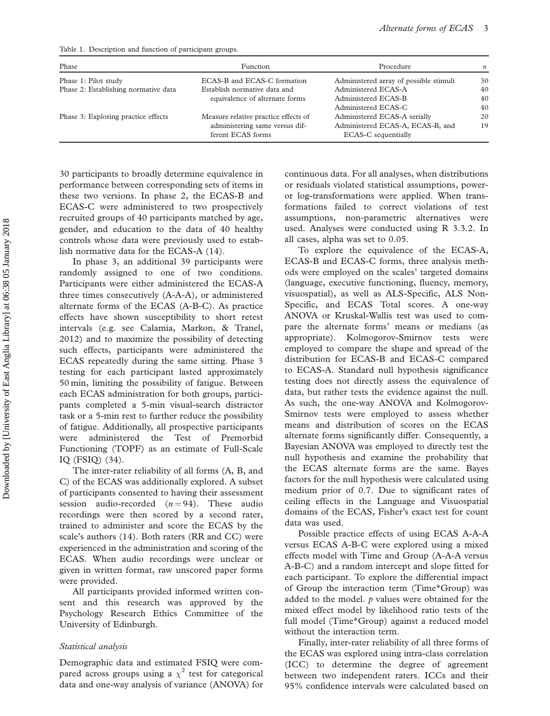<span id="page-3-0"></span>Table 1. Description and function of participant groups.

| Phase                                | Function                                            | Procedure                                               | $\boldsymbol{n}$ |
|--------------------------------------|-----------------------------------------------------|---------------------------------------------------------|------------------|
| Phase 1: Pilot study                 | ECAS-B and ECAS-C formation                         | Administered array of possible stimuli                  | 30               |
| Phase 2: Establishing normative data | Establish normative data and                        | Administered ECAS-A                                     | 40               |
|                                      | equivalence of alternate forms                      | Administered ECAS-B                                     | 40               |
|                                      |                                                     | Administered ECAS-C                                     | 40               |
| Phase 3: Exploring practice effects  | Measure relative practice effects of                | Administered ECAS-A serially                            | 20               |
|                                      | administering same versus dif-<br>ferent ECAS forms | Administered ECAS-A, ECAS-B, and<br>ECAS-C sequentially | 19               |

30 participants to broadly determine equivalence in performance between corresponding sets of items in these two versions. In phase 2, the ECAS-B and ECAS-C were administered to two prospectively recruited groups of 40 participants matched by age, gender, and education to the data of 40 healthy controls whose data were previously used to establish normative data for the ECAS-A ([14\)](#page-7-0).

In phase 3, an additional 39 participants were randomly assigned to one of two conditions. Participants were either administered the ECAS-A three times consecutively (A-A-A), or administered alternate forms of the ECAS (A-B-C). As practice effects have shown susceptibility to short retest intervals (e.g. see Calamia, Markon, & Tranel, 2012) and to maximize the possibility of detecting such effects, participants were administered the ECAS repeatedly during the same sitting. Phase 3 testing for each participant lasted approximately 50 min, limiting the possibility of fatigue. Between each ECAS administration for both groups, participants completed a 5-min visual-search distractor task or a 5-min rest to further reduce the possibility of fatigue. Additionally, all prospective participants were administered the Test of Premorbid Functioning (TOPF) as an estimate of Full-Scale IQ (FSIQ) [\(34](#page-8-0)).

The inter-rater reliability of all forms (A, B, and C) of the ECAS was additionally explored. A subset of participants consented to having their assessment session audio-recorded  $(n = 94)$ . These audio recordings were then scored by a second rater, trained to administer and score the ECAS by the scale's authors ([14\)](#page-7-0). Both raters (RR and CC) were experienced in the administration and scoring of the ECAS. When audio recordings were unclear or given in written format, raw unscored paper forms were provided.

All participants provided informed written consent and this research was approved by the Psychology Research Ethics Committee of the University of Edinburgh.

## Statistical analysis

Demographic data and estimated FSIQ were compared across groups using a  $\chi^2$  test for categorical data and one-way analysis of variance (ANOVA) for

continuous data. For all analyses, when distributions or residuals violated statistical assumptions, poweror log-transformations were applied. When transformations failed to correct violations of test assumptions, non-parametric alternatives were used. Analyses were conducted using R 3.3.2. In all cases, alpha was set to 0.05.

To explore the equivalence of the ECAS-A, ECAS-B and ECAS-C forms, three analysis methods were employed on the scales' targeted domains (language, executive functioning, fluency, memory, visuospatial), as well as ALS-Specific, ALS Non-Specific, and ECAS Total scores. A one-way ANOVA or Kruskal-Wallis test was used to compare the alternate forms' means or medians (as appropriate). Kolmogorov-Smirnov tests were employed to compare the shape and spread of the distribution for ECAS-B and ECAS-C compared to ECAS-A. Standard null hypothesis significance testing does not directly assess the equivalence of data, but rather tests the evidence against the null. As such, the one-way ANOVA and Kolmogorov-Smirnov tests were employed to assess whether means and distribution of scores on the ECAS alternate forms significantly differ. Consequently, a Bayesian ANOVA was employed to directly test the null hypothesis and examine the probability that the ECAS alternate forms are the same. Bayes factors for the null hypothesis were calculated using medium prior of 0.7. Due to significant rates of ceiling effects in the Language and Visuospatial domains of the ECAS, Fisher's exact test for count data was used.

Possible practice effects of using ECAS A-A-A versus ECAS A-B-C were explored using a mixed effects model with Time and Group (A-A-A versus A-B-C) and a random intercept and slope fitted for each participant. To explore the differential impact of Group the interaction term (Time\*Group) was added to the model.  $p$  values were obtained for the mixed effect model by likelihood ratio tests of the full model (Time\*Group) against a reduced model without the interaction term.

Finally, inter-rater reliability of all three forms of the ECAS was explored using intra-class correlation (ICC) to determine the degree of agreement between two independent raters. ICCs and their 95% confidence intervals were calculated based on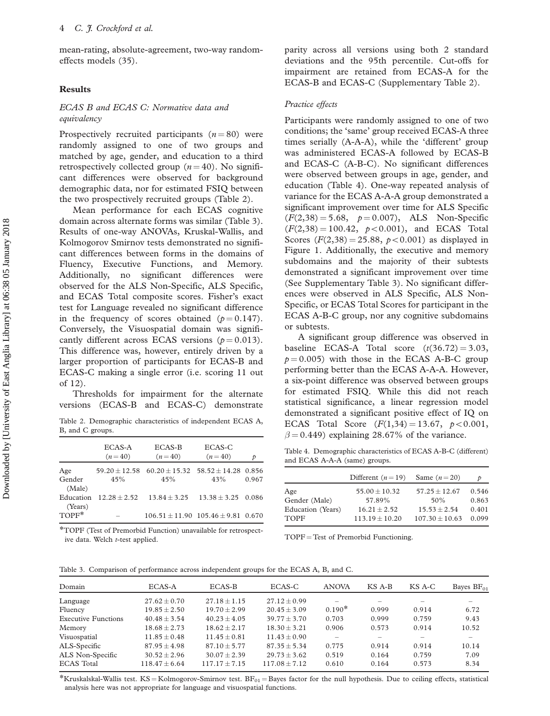mean-rating, absolute-agreement, two-way randomeffects models ([35\)](#page-8-0).

## Results

## ECAS B and ECAS C: Normative data and equivalency

Prospectively recruited participants  $(n = 80)$  were randomly assigned to one of two groups and matched by age, gender, and education to a third retrospectively collected group  $(n = 40)$ . No significant differences were observed for background demographic data, nor for estimated FSIQ between the two prospectively recruited groups (Table 2).

Mean performance for each ECAS cognitive domain across alternate forms was similar (Table 3). Results of one-way ANOVAs, Kruskal-Wallis, and Kolmogorov Smirnov tests demonstrated no significant differences between forms in the domains of Fluency, Executive Functions, and Memory. Additionally, no significant differences were observed for the ALS Non-Specific, ALS Specific, and ECAS Total composite scores. Fisher's exact test for Language revealed no significant difference in the frequency of scores obtained ( $p = 0.147$ ). Conversely, the Visuospatial domain was significantly different across ECAS versions ( $p = 0.013$ ). This difference was, however, entirely driven by a larger proportion of participants for ECAS-B and ECAS-C making a single error (i.e. scoring 11 out of 12).

Thresholds for impairment for the alternate versions (ECAS-B and ECAS-C) demonstrate

Table 2. Demographic characteristics of independent ECAS A, B, and C groups.

|                  | ECAS-A<br>$(n=40)$       | ECAS-B<br>$(n=40)$                                          | ECAS-C<br>$(n=40)$   | Þ     |
|------------------|--------------------------|-------------------------------------------------------------|----------------------|-------|
| Age              |                          | $59.20 \pm 12.58$ $60.20 \pm 15.32$ $58.52 \pm 14.28$ 0.856 |                      |       |
| Gender<br>(Male) | 45%                      | 45%                                                         | 43%                  | 0.967 |
| (Years)          | Education $12.28 + 2.52$ | $13.84 + 3.25$                                              | $13.38 + 3.25$ 0.086 |       |
| TOPF*            |                          | $106.51 + 11.90$ $105.46 + 9.81$ 0.670                      |                      |       |

\*TOPF (Test of Premorbid Function) unavailable for retrospective data. Welch t-test applied.

parity across all versions using both 2 standard deviations and the 95th percentile. Cut-offs for impairment are retained from ECAS-A for the ECAS-B and ECAS-C ([Supplementary Table 2](https://doi.org/10.1080/21678421.2017.1407793)).

## Practice effects

Participants were randomly assigned to one of two conditions; the 'same' group received ECAS-A three times serially (A-A-A), while the 'different' group was administered ECAS-A followed by ECAS-B and ECAS-C (A-B-C). No significant differences were observed between groups in age, gender, and education (Table 4). One-way repeated analysis of variance for the ECAS A-A-A group demonstrated a significant improvement over time for ALS Specific  $(F(2,38) = 5.68, p = 0.007)$ , ALS Non-Specific  $(F(2,38) = 100.42, p < 0.001)$ , and ECAS Total Scores  $(F(2,38) = 25.88, p < 0.001)$  as displayed in [Figure 1.](#page-5-0) Additionally, the executive and memory subdomains and the majority of their subtests demonstrated a significant improvement over time (See [Supplementary Table 3](https://doi.org/10.1080/21678421.2017.1407793)). No significant differences were observed in ALS Specific, ALS Non-Specific, or ECAS Total Scores for participant in the ECAS A-B-C group, nor any cognitive subdomains or subtests.

A significant group difference was observed in baseline ECAS-A Total score  $(t(36.72) = 3.03,$  $p = 0.005$ ) with those in the ECAS A-B-C group performing better than the ECAS A-A-A. However, a six-point difference was observed between groups for estimated FSIQ. While this did not reach statistical significance, a linear regression model demonstrated a significant positive effect of IQ on ECAS Total Score  $(F(1,34) = 13.67, p < 0.001,$  $\beta$  = 0.449) explaining 28.67% of the variance.

Table 4. Demographic characteristics of ECAS A-B-C (different) and ECAS A-A-A (same) groups.

|                   | Different $(n=19)$ | Same $(n=20)$      | Þ     |
|-------------------|--------------------|--------------------|-------|
| Age               | $55.00 + 10.32$    | $57.25 + 12.67$    | 0.546 |
| Gender (Male)     | 57.89%             | 50%                | 0.863 |
| Education (Years) | $16.21 + 2.52$     | $15.53 + 2.54$     | 0.401 |
| <b>TOPF</b>       | $113.19 + 10.20$   | $107.30 \pm 10.63$ | 0.099 |
|                   |                    |                    |       |

 $TOPF = Test$  of Premorbid Functioning.

| Domain                     | ECAS-A            | ECAS-B            | ECAS-C          | <b>ANOVA</b>             | KS A-B | KS A-C | Bayes $BF_{01}$ |
|----------------------------|-------------------|-------------------|-----------------|--------------------------|--------|--------|-----------------|
| Language                   | $27.62 + 0.70$    | $27.18 + 1.15$    | $27.12 + 0.99$  | $\overline{\phantom{0}}$ |        |        |                 |
| Fluency                    | $19.85 + 2.50$    | $19.70 + 2.99$    | $20.45 + 3.09$  | $0.190*$                 | 0.999  | 0.914  | 6.72            |
| <b>Executive Functions</b> | $40.48 + 3.54$    | $40.23 + 4.05$    | $39.77 + 3.70$  | 0.703                    | 0.999  | 0.759  | 9.43            |
| Memory                     | $18.68 + 2.73$    | $18.62 + 2.17$    | $18.30 + 3.21$  | 0.906                    | 0.573  | 0.914  | 10.52           |
| Visuospatial               | $11.85 + 0.48$    | $11.45 + 0.81$    | $11.43 + 0.90$  |                          |        |        |                 |
| ALS-Specific               | $87.95 + 4.98$    | $87.10 \pm 5.77$  | $87.35 + 5.34$  | 0.775                    | 0.914  | 0.914  | 10.14           |
| ALS Non-Specific           | $30.52 + 2.96$    | $30.07 + 2.39$    | $29.73 + 3.62$  | 0.519                    | 0.164  | 0.759  | 7.09            |
| <b>ECAS</b> Total          | $118.47 \pm 6.64$ | $117.17 \pm 7.15$ | $117.08 + 7.12$ | 0.610                    | 0.164  | 0.573  | 8.34            |

\*Kruskalskal-Wallis test. KS = Kolmogorov-Smirnov test.  $BF_{01}$  = Bayes factor for the null hypothesis. Due to ceiling effects, statistical analysis here was not appropriate for language and visuospatial functions.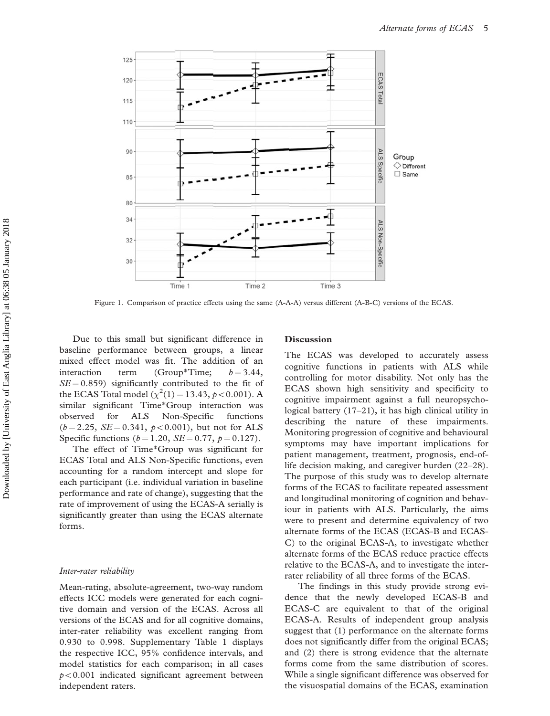<span id="page-5-0"></span>

Figure 1. Comparison of practice effects using the same (A-A-A) versus different (A-B-C) versions of the ECAS.

Due to this small but significant difference in baseline performance between groups, a linear mixed effect model was fit. The addition of an interaction term (Group\*Time;  $b = 3.44$ ,  $SE = 0.859$ ) significantly contributed to the fit of the ECAS Total model  $(\chi^2(1) = 13.43, p < 0.001)$ . A similar significant Time\*Group interaction was observed for ALS Non-Specific functions  $(b = 2.25, SE = 0.341, p < 0.001)$ , but not for ALS Specific functions  $(b = 1.20, SE = 0.77, p = 0.127)$ .

The effect of Time\*Group was significant for ECAS Total and ALS Non-Specific functions, even accounting for a random intercept and slope for each participant (i.e. individual variation in baseline performance and rate of change), suggesting that the rate of improvement of using the ECAS-A serially is significantly greater than using the ECAS alternate forms.

## Inter-rater reliability

Mean-rating, absolute-agreement, two-way random effects ICC models were generated for each cognitive domain and version of the ECAS. Across all versions of the ECAS and for all cognitive domains, inter-rater reliability was excellent ranging from 0.930 to 0.998. [Supplementary Table 1](https://doi.org/10.1080/21678421.2017.1407793) displays the respective ICC, 95% confidence intervals, and model statistics for each comparison; in all cases  $p<0.001$  indicated significant agreement between independent raters.

## Discussion

The ECAS was developed to accurately assess cognitive functions in patients with ALS while controlling for motor disability. Not only has the ECAS shown high sensitivity and specificity to cognitive impairment against a full neuropsychological battery [\(17–21\)](#page-7-0), it has high clinical utility in describing the nature of these impairments. Monitoring progression of cognitive and behavioural symptoms may have important implications for patient management, treatment, prognosis, end-oflife decision making, and caregiver burden ([22–28\)](#page-8-0). The purpose of this study was to develop alternate forms of the ECAS to facilitate repeated assessment and longitudinal monitoring of cognition and behaviour in patients with ALS. Particularly, the aims were to present and determine equivalency of two alternate forms of the ECAS (ECAS-B and ECAS-C) to the original ECAS-A, to investigate whether alternate forms of the ECAS reduce practice effects relative to the ECAS-A, and to investigate the interrater reliability of all three forms of the ECAS.

The findings in this study provide strong evidence that the newly developed ECAS-B and ECAS-C are equivalent to that of the original ECAS-A. Results of independent group analysis suggest that (1) performance on the alternate forms does not significantly differ from the original ECAS; and (2) there is strong evidence that the alternate forms come from the same distribution of scores. While a single significant difference was observed for the visuospatial domains of the ECAS, examination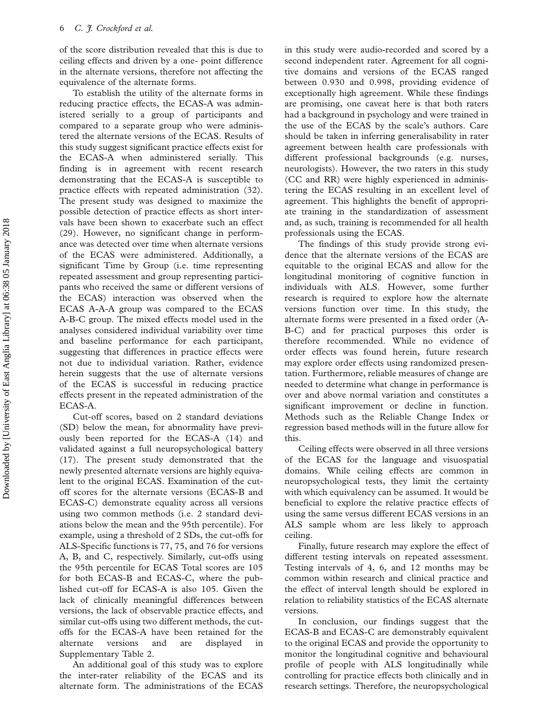of the score distribution revealed that this is due to ceiling effects and driven by a one- point difference in the alternate versions, therefore not affecting the equivalence of the alternate forms.

To establish the utility of the alternate forms in reducing practice effects, the ECAS-A was administered serially to a group of participants and compared to a separate group who were administered the alternate versions of the ECAS. Results of this study suggest significant practice effects exist for the ECAS-A when administered serially. This finding is in agreement with recent research demonstrating that the ECAS-A is susceptible to practice effects with repeated administration ([32\)](#page-8-0). The present study was designed to maximize the possible detection of practice effects as short intervals have been shown to exacerbate such an effect ([29\)](#page-8-0). However, no significant change in performance was detected over time when alternate versions of the ECAS were administered. Additionally, a significant Time by Group (i.e. time representing repeated assessment and group representing participants who received the same or different versions of the ECAS) interaction was observed when the ECAS A-A-A group was compared to the ECAS A-B-C group. The mixed effects model used in the analyses considered individual variability over time and baseline performance for each participant, suggesting that differences in practice effects were not due to individual variation. Rather, evidence herein suggests that the use of alternate versions of the ECAS is successful in reducing practice effects present in the repeated administration of the ECAS-A.

Cut-off scores, based on 2 standard deviations (SD) below the mean, for abnormality have previously been reported for the ECAS-A ([14\)](#page-7-0) and validated against a full neuropsychological battery ([17\)](#page-7-0). The present study demonstrated that the newly presented alternate versions are highly equivalent to the original ECAS. Examination of the cutoff scores for the alternate versions (ECAS-B and ECAS-C) demonstrate equality across all versions using two common methods (i.e. 2 standard deviations below the mean and the 95th percentile). For example, using a threshold of 2 SDs, the cut-offs for ALS-Specific functions is 77, 75, and 76 for versions A, B, and C, respectively. Similarly, cut-offs using the 95th percentile for ECAS Total scores are 105 for both ECAS-B and ECAS-C, where the published cut-off for ECAS-A is also 105. Given the lack of clinically meaningful differences between versions, the lack of observable practice effects, and similar cut-offs using two different methods, the cutoffs for the ECAS-A have been retained for the alternate versions and are displayed in [Supplementary Table 2](https://doi.org/10.1080/21678421.2017.1407793).

An additional goal of this study was to explore the inter-rater reliability of the ECAS and its alternate form. The administrations of the ECAS

in this study were audio-recorded and scored by a second independent rater. Agreement for all cognitive domains and versions of the ECAS ranged between 0.930 and 0.998, providing evidence of exceptionally high agreement. While these findings are promising, one caveat here is that both raters had a background in psychology and were trained in the use of the ECAS by the scale's authors. Care should be taken in inferring generalisability in rater agreement between health care professionals with different professional backgrounds (e.g. nurses, neurologists). However, the two raters in this study (CC and RR) were highly experienced in administering the ECAS resulting in an excellent level of agreement. This highlights the benefit of appropriate training in the standardization of assessment and, as such, training is recommended for all health professionals using the ECAS.

The findings of this study provide strong evidence that the alternate versions of the ECAS are equitable to the original ECAS and allow for the longitudinal monitoring of cognitive function in individuals with ALS. However, some further research is required to explore how the alternate versions function over time. In this study, the alternate forms were presented in a fixed order (A-B-C) and for practical purposes this order is therefore recommended. While no evidence of order effects was found herein, future research may explore order effects using randomized presentation. Furthermore, reliable measures of change are needed to determine what change in performance is over and above normal variation and constitutes a significant improvement or decline in function. Methods such as the Reliable Change Index or regression based methods will in the future allow for this.

Ceiling effects were observed in all three versions of the ECAS for the language and visuospatial domains. While ceiling effects are common in neuropsychological tests, they limit the certainty with which equivalency can be assumed. It would be beneficial to explore the relative practice effects of using the same versus different ECAS versions in an ALS sample whom are less likely to approach ceiling.

Finally, future research may explore the effect of different testing intervals on repeated assessment. Testing intervals of 4, 6, and 12 months may be common within research and clinical practice and the effect of interval length should be explored in relation to reliability statistics of the ECAS alternate versions.

In conclusion, our findings suggest that the ECAS-B and ECAS-C are demonstrably equivalent to the original ECAS and provide the opportunity to monitor the longitudinal cognitive and behavioural profile of people with ALS longitudinally while controlling for practice effects both clinically and in research settings. Therefore, the neuropsychological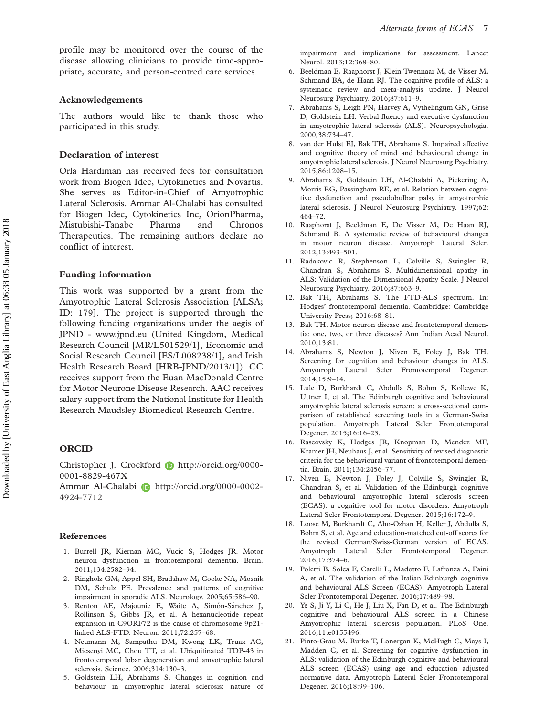<span id="page-7-0"></span>profile may be monitored over the course of the disease allowing clinicians to provide time-appropriate, accurate, and person-centred care services.

## Acknowledgements

The authors would like to thank those who participated in this study.

#### Declaration of interest

Orla Hardiman has received fees for consultation work from Biogen Idec, Cytokinetics and Novartis. She serves as Editor-in-Chief of Amyotrophic Lateral Sclerosis. Ammar Al-Chalabi has consulted for Biogen Idec, Cytokinetics Inc, OrionPharma, Mistubishi-Tanabe Pharma and Chronos Therapeutics. The remaining authors declare no conflict of interest.

## Funding information

This work was supported by a grant from the Amyotrophic Lateral Sclerosis Association [ALSA; ID: 179]. The project is supported through the following funding organizations under the aegis of JPND -<www.jpnd.eu> (United Kingdom, Medical Research Council [MR/L501529/1], Economic and Social Research Council [ES/L008238/1], and Irish Health Research Board [HRB-JPND/2013/1]). CC receives support from the Euan MacDonald Centre for Motor Neurone Disease Research. AAC receives salary support from the National Institute for Health Research Maudsley Biomedical Research Centre.

## ORCID

Christopher J. Crockford **b** http://orcid.org/0000-0001-8829-467X

Ammar Al-Chalabi **D** http://orcid.org/0000-0002-4924-7712

## References

- 1. Burrell JR, Kiernan MC, Vucic S, Hodges JR. Motor neuron dysfunction in frontotemporal dementia. Brain. 2011;134:2582–94.
- 2. Ringholz GM, Appel SH, Bradshaw M, Cooke NA, Mosnik DM, Schulz PE. Prevalence and patterns of cognitive impairment in sporadic ALS. Neurology. 2005;65:586–90.
- 3. Renton AE, Majounie E, Waite A, Simón-Sánchez J, Rollinson S, Gibbs JR, et al. A hexanucleotide repeat expansion in C9ORF72 is the cause of chromosome 9p21 linked ALS-FTD. Neuron. 2011;72:257–68.
- 4. Neumann M, Sampathu DM, Kwong LK, Truax AC, Micsenyi MC, Chou TT, et al. Ubiquitinated TDP-43 in frontotemporal lobar degeneration and amyotrophic lateral sclerosis. Science. 2006;314:130–3.
- 5. Goldstein LH, Abrahams S. Changes in cognition and behaviour in amyotrophic lateral sclerosis: nature of

impairment and implications for assessment. Lancet Neurol. 2013;12:368–80.

- 6. Beeldman E, Raaphorst J, Klein Twennaar M, de Visser M, Schmand BA, de Haan RJ. The cognitive profile of ALS: a systematic review and meta-analysis update. J Neurol Neurosurg Psychiatry. 2016;87:611–9.
- 7. Abrahams S, Leigh PN, Harvey A, Vythelingum GN, Grise´ D, Goldstein LH. Verbal fluency and executive dysfunction in amyotrophic lateral sclerosis (ALS). Neuropsychologia. 2000;38:734–47.
- 8. van der Hulst EJ, Bak TH, Abrahams S. Impaired affective and cognitive theory of mind and behavioural change in amyotrophic lateral sclerosis. J Neurol Neurosurg Psychiatry. 2015;86:1208–15.
- 9. Abrahams S, Goldstein LH, Al-Chalabi A, Pickering A, Morris RG, Passingham RE, et al. Relation between cognitive dysfunction and pseudobulbar palsy in amyotrophic lateral sclerosis. J Neurol Neurosurg Psychiatry. 1997;62: 464–72.
- 10. Raaphorst J, Beeldman E, De Visser M, De Haan RJ, Schmand B. A systematic review of behavioural changes in motor neuron disease. Amyotroph Lateral Scler. 2012;13:493–501.
- 11. Radakovic R, Stephenson L, Colville S, Swingler R, Chandran S, Abrahams S. Multidimensional apathy in ALS: Validation of the Dimensional Apathy Scale. J Neurol Neurosurg Psychiatry. 2016;87:663–9.
- 12. Bak TH, Abrahams S. The FTD-ALS spectrum. In: Hodges' frontotemporal dementia. Cambridge: Cambridge University Press; 2016:68–81.
- 13. Bak TH. Motor neuron disease and frontotemporal dementia: one, two, or three diseases? Ann Indian Acad Neurol. 2010;13:81.
- 14. Abrahams S, Newton J, Niven E, Foley J, Bak TH. Screening for cognition and behaviour changes in ALS. Amyotroph Lateral Scler Frontotemporal Degener. 2014;15:9–14.
- 15. Lule D, Burkhardt C, Abdulla S, Bohm S, Kollewe K, Uttner I, et al. The Edinburgh cognitive and behavioural amyotrophic lateral sclerosis screen: a cross-sectional comparison of established screening tools in a German-Swiss population. Amyotroph Lateral Scler Frontotemporal Degener. 2015;16:16–23.
- 16. Rascovsky K, Hodges JR, Knopman D, Mendez MF, Kramer JH, Neuhaus J, et al. Sensitivity of revised diagnostic criteria for the behavioural variant of frontotemporal dementia. Brain. 2011;134:2456–77.
- 17. Niven E, Newton J, Foley J, Colville S, Swingler R, Chandran S, et al. Validation of the Edinburgh cognitive and behavioural amyotrophic lateral sclerosis screen (ECAS): a cognitive tool for motor disorders. Amyotroph Lateral Scler Frontotemporal Degener. 2015;16:172–9.
- 18. Loose M, Burkhardt C, Aho-Ozhan H, Keller J, Abdulla S, Bohm S, et al. Age and education-matched cut-off scores for the revised German/Swiss-German version of ECAS. Amyotroph Lateral Scler Frontotemporal Degener. 2016;17:374–6.
- 19. Poletti B, Solca F, Carelli L, Madotto F, Lafronza A, Faini A, et al. The validation of the Italian Edinburgh cognitive and behavioural ALS Screen (ECAS). Amyotroph Lateral Scler Frontotemporal Degener. 2016;17:489–98.
- 20. Ye S, Ji Y, Li C, He J, Liu X, Fan D, et al. The Edinburgh cognitive and behavioural ALS screen in a Chinese Amyotrophic lateral sclerosis population. PLoS One. 2016;11:e0155496.
- 21. Pinto-Grau M, Burke T, Lonergan K, McHugh C, Mays I, Madden C, et al. Screening for cognitive dysfunction in ALS: validation of the Edinburgh cognitive and behavioural ALS screen (ECAS) using age and education adjusted normative data. Amyotroph Lateral Scler Frontotemporal Degener. 2016;18:99–106.